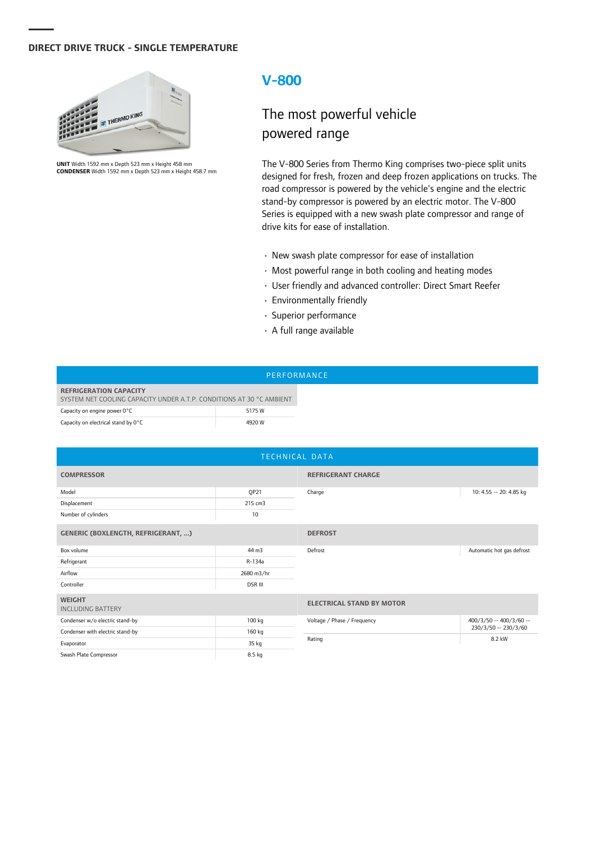### **DIRECT DRIVE TRUCK - SINGLE TEMPERATURE**



**UNIT** Width 1592 mm x Depth 523 mm x Height 458 mm **CONDENSER** Width 1592 mm x Depth 523 mm x Height 458.7 mm

## **V-800**

# The most powerful vehicle powered range

The V-800 Series from Thermo King comprises two-piece split units designed for fresh, frozen and deep frozen applications on trucks. The road compressor is powered by the vehicle's engine and the electric stand-by compressor is powered by an electric motor. The V-800 Series is equipped with a new swash plate compressor and range of drive kits for ease of installation.

- New swash plate compressor for ease of installation
- Most powerful range in both cooling and heating modes
- User friendly and advanced controller: Direct Smart Reefer
- Environmentally friendly
- Superior performance
- A full range available

#### PERFORMANCE

| <b>REFRIGERATION CAPACITY</b><br>SYSTEM NET COOLING CAPACITY UNDER A.T.P. CONDITIONS AT 30 °C AMBIENT |        |  |  |  |
|-------------------------------------------------------------------------------------------------------|--------|--|--|--|
| Capacity on engine power 0°C                                                                          | 5175 W |  |  |  |
| Capacity on electrical stand by 0°C                                                                   | 4920 W |  |  |  |

| TECHNICAL DATA                            |                |                                  |                           |  |  |  |
|-------------------------------------------|----------------|----------------------------------|---------------------------|--|--|--|
| <b>COMPRESSOR</b>                         |                | <b>REFRIGERANT CHARGE</b>        |                           |  |  |  |
| Model                                     | QP21           | Charge                           | 10: 4.55 -- 20: 4.85 kg   |  |  |  |
| Displacement                              | 215 cm3        |                                  |                           |  |  |  |
| Number of cylinders                       | 10             |                                  |                           |  |  |  |
| <b>GENERIC (BOXLENGTH, REFRIGERANT, )</b> |                | <b>DEFROST</b>                   |                           |  |  |  |
| Box volume                                | 44 m3          | Defrost                          | Automatic hot gas defrost |  |  |  |
| Refrigerant                               | R-134a         |                                  |                           |  |  |  |
| Airflow                                   | 2680 m3/hr     |                                  |                           |  |  |  |
| Controller                                | <b>DSR III</b> |                                  |                           |  |  |  |
| <b>WEIGHT</b><br><b>INCLUDING BATTERY</b> |                | <b>ELECTRICAL STAND BY MOTOR</b> |                           |  |  |  |
| Condenser w/o electric stand-by           | 100 kg         | Voltage / Phase / Frequency      | $400/3/50 - 400/3/60 -$   |  |  |  |
| Condenser with electric stand-by          | 160 kg         | 230/3/50 -- 230/3/60             |                           |  |  |  |
| Evaporator                                | 35 kg          | 8.2 kW<br>Rating                 |                           |  |  |  |
| Swash Plate Compressor                    | 8.5 kg         |                                  |                           |  |  |  |